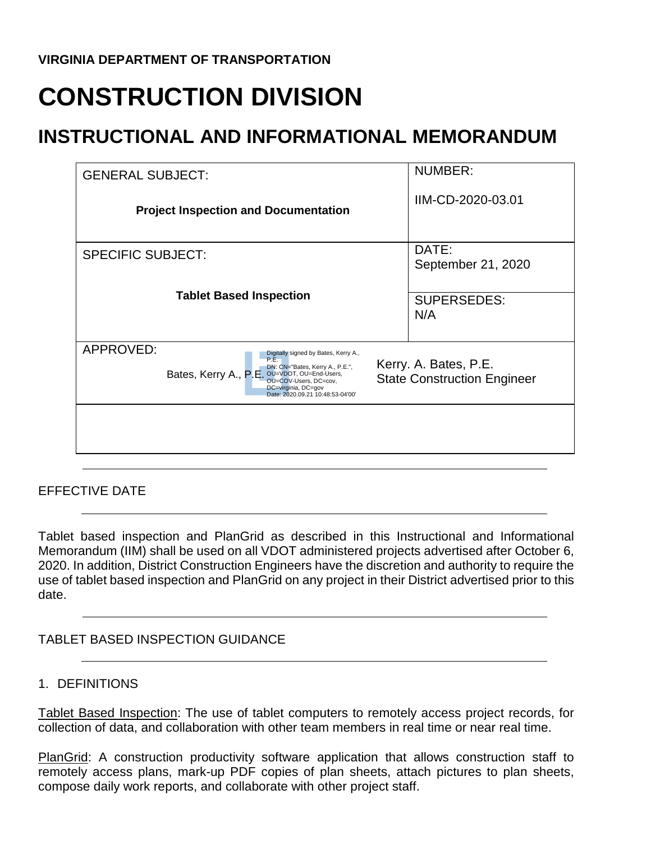# **CONSTRUCTION DIVISION**

# **INSTRUCTIONAL AND INFORMATIONAL MEMORANDUM**

| <b>GENERAL SUBJECT:</b>                                                                                                                                             | <b>NUMBER:</b>                     |
|---------------------------------------------------------------------------------------------------------------------------------------------------------------------|------------------------------------|
| <b>Project Inspection and Documentation</b>                                                                                                                         | IIM-CD-2020-03.01                  |
| <b>SPECIFIC SUBJECT:</b>                                                                                                                                            | DATE:<br>September 21, 2020        |
|                                                                                                                                                                     |                                    |
| <b>Tablet Based Inspection</b>                                                                                                                                      | <b>SUPERSEDES:</b><br>N/A          |
|                                                                                                                                                                     |                                    |
| APPROVED:<br>Digitally signed by Bates, Kerry A.,<br>P.E.                                                                                                           | Kerry. A. Bates, P.E.              |
| DN: CN="Bates, Kerry A., P.E.",<br>Bates, Kerry A., P.E. OU=VDOT, OU=End-Users,<br>OU=COV-Users, DC=cov,<br>DC=virginia, DC=gov<br>Date: 2020.09.21 10:48:53-04'00' | <b>State Construction Engineer</b> |
|                                                                                                                                                                     |                                    |
|                                                                                                                                                                     |                                    |
|                                                                                                                                                                     |                                    |

EFFECTIVE DATE

Tablet based inspection and PlanGrid as described in this Instructional and Informational Memorandum (IIM) shall be used on all VDOT administered projects advertised after October 6, 2020. In addition, District Construction Engineers have the discretion and authority to require the use of tablet based inspection and PlanGrid on any project in their District advertised prior to this date.

# TABLET BASED INSPECTION GUIDANCE

#### 1. DEFINITIONS

Tablet Based Inspection: The use of tablet computers to remotely access project records, for collection of data, and collaboration with other team members in real time or near real time.

PlanGrid: A construction productivity software application that allows construction staff to remotely access plans, mark-up PDF copies of plan sheets, attach pictures to plan sheets, compose daily work reports, and collaborate with other project staff.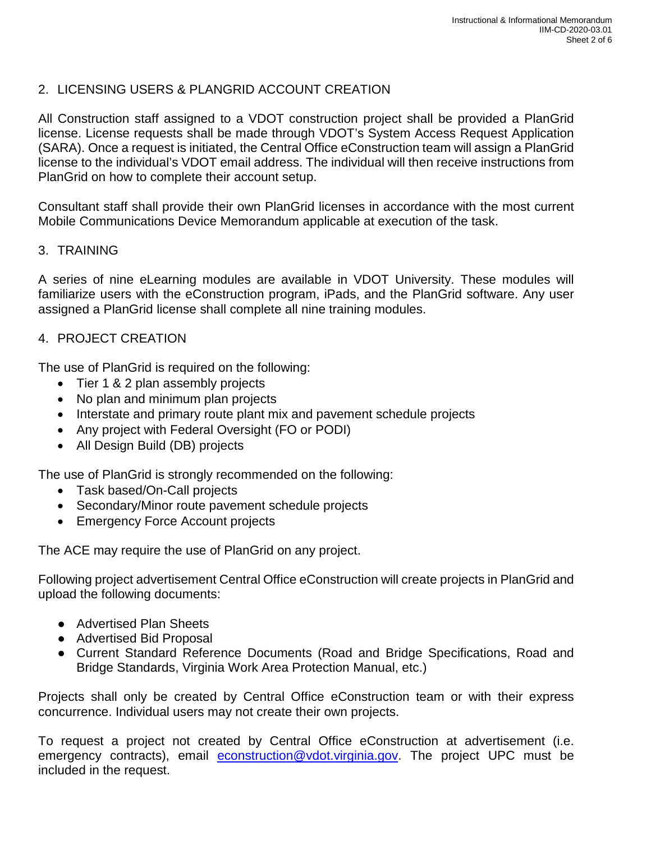# 2. LICENSING USERS & PLANGRID ACCOUNT CREATION

All Construction staff assigned to a VDOT construction project shall be provided a PlanGrid license. License requests shall be made through VDOT's System Access Request Application (SARA). Once a request is initiated, the Central Office eConstruction team will assign a PlanGrid license to the individual's VDOT email address. The individual will then receive instructions from PlanGrid on how to complete their account setup.

Consultant staff shall provide their own PlanGrid licenses in accordance with the most current Mobile Communications Device Memorandum applicable at execution of the task.

#### 3. TRAINING

A series of nine eLearning modules are available in VDOT University. These modules will familiarize users with the eConstruction program, iPads, and the PlanGrid software. Any user assigned a PlanGrid license shall complete all nine training modules.

# 4. PROJECT CREATION

The use of PlanGrid is required on the following:

- Tier 1 & 2 plan assembly projects
- No plan and minimum plan projects
- Interstate and primary route plant mix and pavement schedule projects
- Any project with Federal Oversight (FO or PODI)
- All Design Build (DB) projects

The use of PlanGrid is strongly recommended on the following:

- Task based/On-Call projects
- Secondary/Minor route pavement schedule projects
- Emergency Force Account projects

The ACE may require the use of PlanGrid on any project.

Following project advertisement Central Office eConstruction will create projects in PlanGrid and upload the following documents:

- Advertised Plan Sheets
- Advertised Bid Proposal
- Current Standard Reference Documents (Road and Bridge Specifications, Road and Bridge Standards, Virginia Work Area Protection Manual, etc.)

Projects shall only be created by Central Office eConstruction team or with their express concurrence. Individual users may not create their own projects.

To request a project not created by Central Office eConstruction at advertisement (i.e. emergency contracts), email [econstruction@vdot.virginia.gov.](mailto:econstruction@vdot.virginia.gov) The project UPC must be included in the request.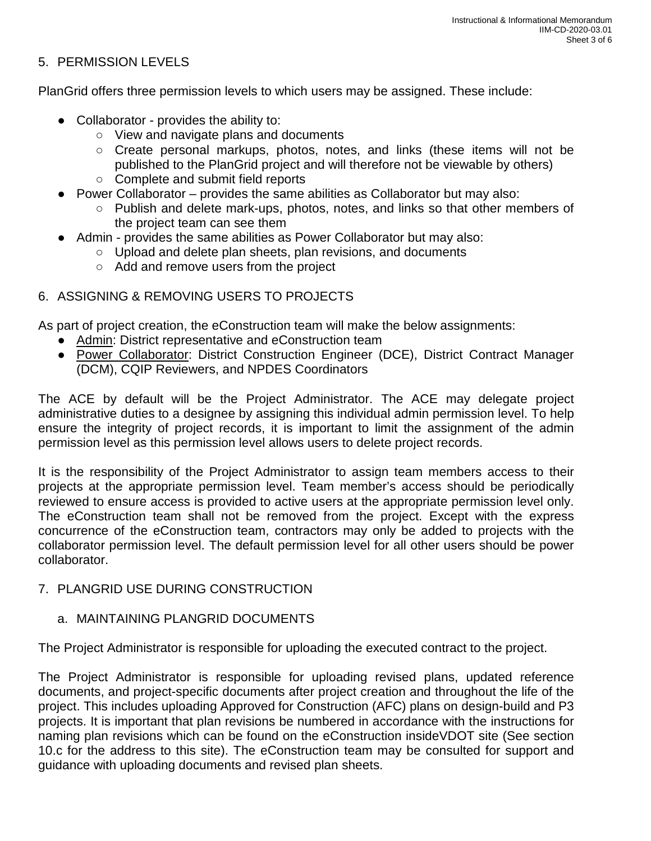# 5. PERMISSION LEVELS

PlanGrid offers three permission levels to which users may be assigned. These include:

- Collaborator provides the ability to:
	- View and navigate plans and documents
	- Create personal markups, photos, notes, and links (these items will not be published to the PlanGrid project and will therefore not be viewable by others)
	- Complete and submit field reports
- Power Collaborator provides the same abilities as Collaborator but may also:
	- Publish and delete mark-ups, photos, notes, and links so that other members of the project team can see them
- Admin provides the same abilities as Power Collaborator but may also:
	- Upload and delete plan sheets, plan revisions, and documents
	- Add and remove users from the project

# 6. ASSIGNING & REMOVING USERS TO PROJECTS

As part of project creation, the eConstruction team will make the below assignments:

- Admin: District representative and eConstruction team
- Power Collaborator: District Construction Engineer (DCE), District Contract Manager (DCM), CQIP Reviewers, and NPDES Coordinators

The ACE by default will be the Project Administrator. The ACE may delegate project administrative duties to a designee by assigning this individual admin permission level. To help ensure the integrity of project records, it is important to limit the assignment of the admin permission level as this permission level allows users to delete project records.

It is the responsibility of the Project Administrator to assign team members access to their projects at the appropriate permission level. Team member's access should be periodically reviewed to ensure access is provided to active users at the appropriate permission level only. The eConstruction team shall not be removed from the project. Except with the express concurrence of the eConstruction team, contractors may only be added to projects with the collaborator permission level. The default permission level for all other users should be power collaborator.

#### 7. PLANGRID USE DURING CONSTRUCTION

#### a. MAINTAINING PLANGRID DOCUMENTS

The Project Administrator is responsible for uploading the executed contract to the project.

The Project Administrator is responsible for uploading revised plans, updated reference documents, and project-specific documents after project creation and throughout the life of the project. This includes uploading Approved for Construction (AFC) plans on design-build and P3 projects. It is important that plan revisions be numbered in accordance with the instructions for naming plan revisions which can be found on the eConstruction insideVDOT site (See section 10.c for the address to this site). The eConstruction team may be consulted for support and guidance with uploading documents and revised plan sheets.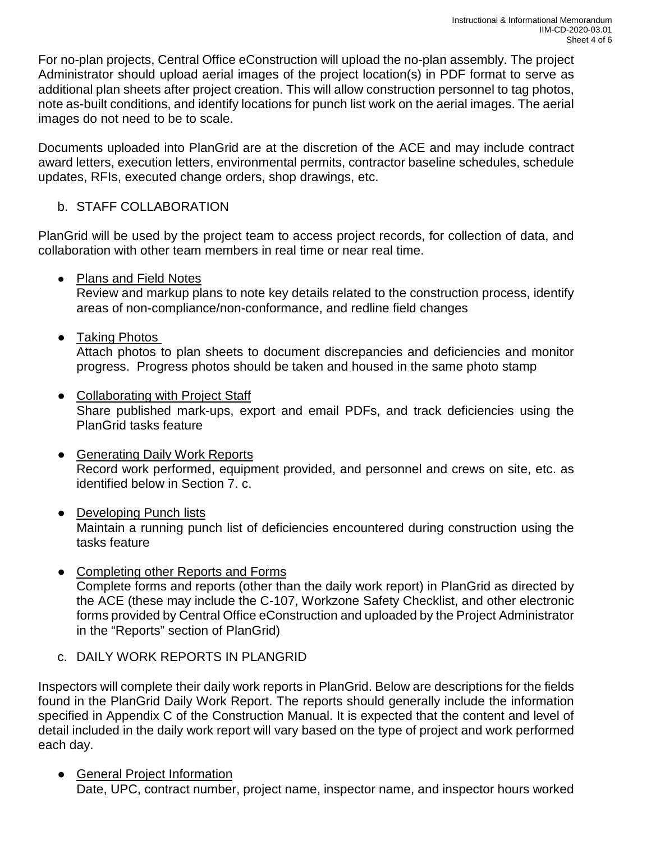For no-plan projects, Central Office eConstruction will upload the no-plan assembly. The project Administrator should upload aerial images of the project location(s) in PDF format to serve as additional plan sheets after project creation. This will allow construction personnel to tag photos, note as-built conditions, and identify locations for punch list work on the aerial images. The aerial images do not need to be to scale.

Documents uploaded into PlanGrid are at the discretion of the ACE and may include contract award letters, execution letters, environmental permits, contractor baseline schedules, schedule updates, RFIs, executed change orders, shop drawings, etc.

#### b. STAFF COLLABORATION

PlanGrid will be used by the project team to access project records, for collection of data, and collaboration with other team members in real time or near real time.

● Plans and Field Notes

Review and markup plans to note key details related to the construction process, identify areas of non-compliance/non-conformance, and redline field changes

● Taking Photos

Attach photos to plan sheets to document discrepancies and deficiencies and monitor progress. Progress photos should be taken and housed in the same photo stamp

- Collaborating with Project Staff Share published mark-ups, export and email PDFs, and track deficiencies using the PlanGrid tasks feature
- Generating Daily Work Reports Record work performed, equipment provided, and personnel and crews on site, etc. as identified below in Section 7. c.
- Developing Punch lists Maintain a running punch list of deficiencies encountered during construction using the tasks feature
- Completing other Reports and Forms Complete forms and reports (other than the daily work report) in PlanGrid as directed by the ACE (these may include the C-107, Workzone Safety Checklist, and other electronic forms provided by Central Office eConstruction and uploaded by the Project Administrator in the "Reports" section of PlanGrid)
- c. DAILY WORK REPORTS IN PLANGRID

Inspectors will complete their daily work reports in PlanGrid. Below are descriptions for the fields found in the PlanGrid Daily Work Report. The reports should generally include the information specified in Appendix C of the Construction Manual. It is expected that the content and level of detail included in the daily work report will vary based on the type of project and work performed each day.

● General Project Information Date, UPC, contract number, project name, inspector name, and inspector hours worked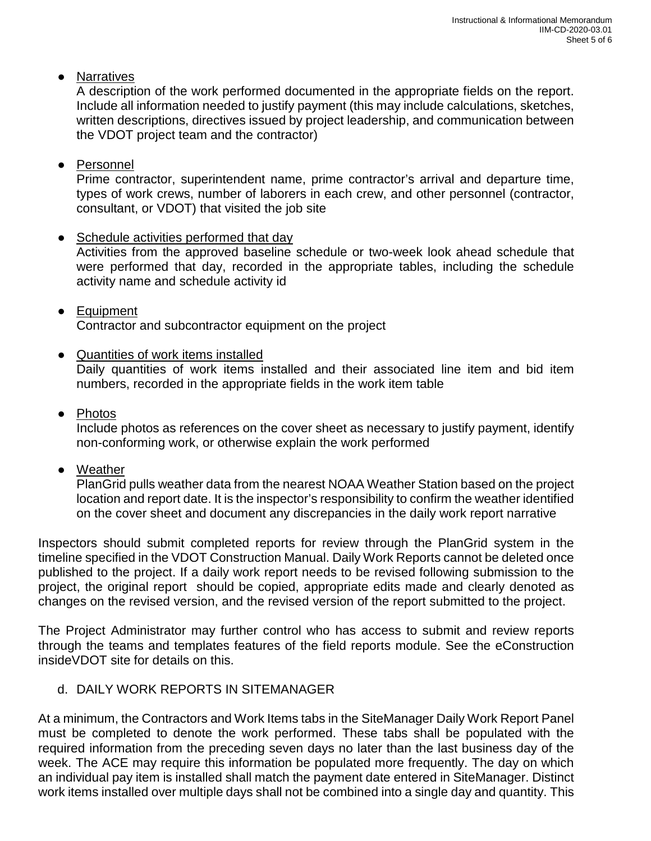● Narratives

A description of the work performed documented in the appropriate fields on the report. Include all information needed to justify payment (this may include calculations, sketches, written descriptions, directives issued by project leadership, and communication between the VDOT project team and the contractor)

● Personnel

Prime contractor, superintendent name, prime contractor's arrival and departure time, types of work crews, number of laborers in each crew, and other personnel (contractor, consultant, or VDOT) that visited the job site

- Schedule activities performed that day Activities from the approved baseline schedule or two-week look ahead schedule that were performed that day, recorded in the appropriate tables, including the schedule activity name and schedule activity id
- Equipment Contractor and subcontractor equipment on the project
- Quantities of work items installed

Daily quantities of work items installed and their associated line item and bid item numbers, recorded in the appropriate fields in the work item table

● Photos

Include photos as references on the cover sheet as necessary to justify payment, identify non-conforming work, or otherwise explain the work performed

● Weather

PlanGrid pulls weather data from the nearest NOAA Weather Station based on the project location and report date. It is the inspector's responsibility to confirm the weather identified on the cover sheet and document any discrepancies in the daily work report narrative

Inspectors should submit completed reports for review through the PlanGrid system in the timeline specified in the VDOT Construction Manual. Daily Work Reports cannot be deleted once published to the project. If a daily work report needs to be revised following submission to the project, the original report should be copied, appropriate edits made and clearly denoted as changes on the revised version, and the revised version of the report submitted to the project.

The Project Administrator may further control who has access to submit and review reports through the teams and templates features of the field reports module. See the eConstruction insideVDOT site for details on this.

d. DAILY WORK REPORTS IN SITEMANAGER

At a minimum, the Contractors and Work Items tabs in the SiteManager Daily Work Report Panel must be completed to denote the work performed. These tabs shall be populated with the required information from the preceding seven days no later than the last business day of the week. The ACE may require this information be populated more frequently. The day on which an individual pay item is installed shall match the payment date entered in SiteManager. Distinct work items installed over multiple days shall not be combined into a single day and quantity. This